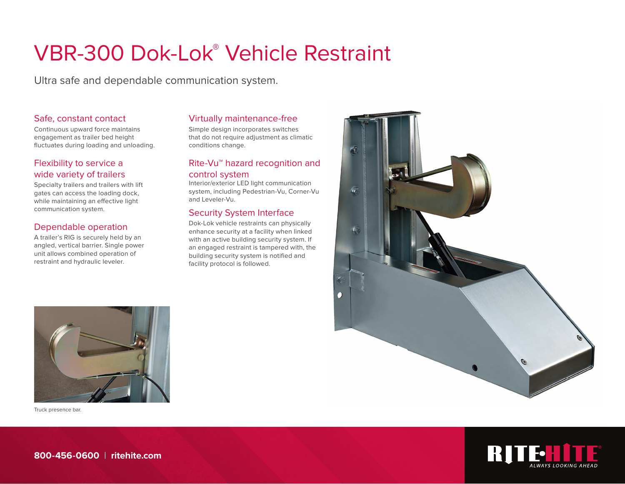# VBR-300 Dok-Lok® Vehicle Restraint

Ultra safe and dependable communication system.

#### Safe, constant contact

Continuous upward force maintains engagement as trailer bed height fluctuates during loading and unloading.

# Flexibility to service a wide variety of trailers

Specialty trailers and trailers with lift gates can access the loading dock, while maintaining an effective light communication system.

# Dependable operation

A trailer's RIG is securely held by an angled, vertical barrier. Single power unit allows combined operation of restraint and hydraulic leveler.

#### Virtually maintenance-free

Simple design incorporates switches that do not require adjustment as climatic conditions change.

#### Rite-Vu™ hazard recognition and control system

Interior/exterior LED light communication system, including Pedestrian-Vu, Corner-Vu and Leveler-Vu.

#### Security System Interface

Dok-Lok vehicle restraints can physically enhance security at a facility when linked with an active building security system. If an engaged restraint is tampered with, the building security system is notified and facility protocol is followed.





Truck presence bar.